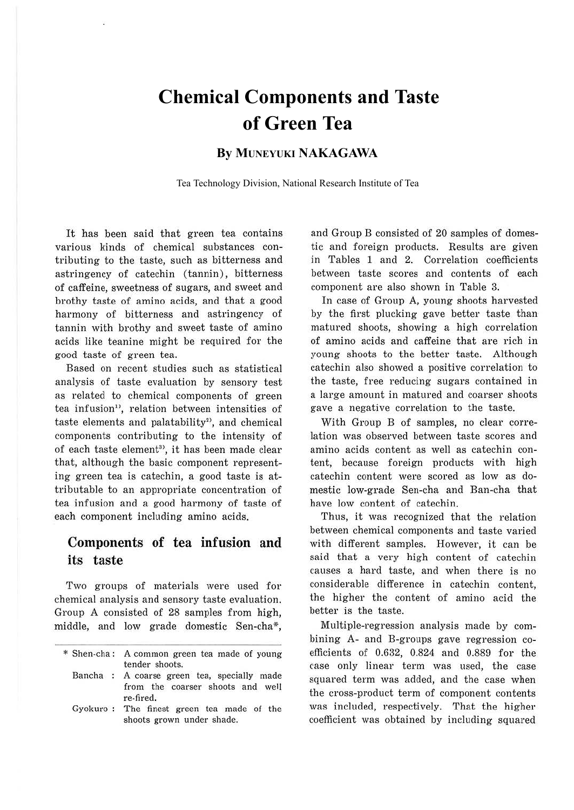# **Chemical Components and Taste of Green Tea**

### **By MUNEYUKI NAKAGAWA**

Tea Technology Division, National Research Institute of Tea

It has been said that green tea contains various kinds of chemical substances contributing to the taste, such as bitterness and astringency of catechin (tannin), bitterness of caffeine, sweetness of sugars, and sweet and brothy taste of amino acids, and that a good harmony of bitterness and astringency of tannin with brothy and sweet taste of amino acids like teanine might be required for the good taste of green tea.

Based on recent studies such as statistical analysis of taste evaluation by sensory test as related to chemical components of green tea infusion<sup>1</sup>, relation between intensities of taste elements and palatability<sup>2</sup>, and chemical components contributing to the intensity of of each taste element<sup>3</sup>, it has been made clear that, although the basic component representing green tea is catechin, a good taste is attributable to an appropriate concentration of tea infusion and a good harmony of taste of each component including amino acids.

### **Components of tea infusion and its taste**

Two groups of materials were used for chemical analysis and sensory taste evaluation. Group A consisted of 28 samples from high, middle, and low grade domestic Sen-cha\*,

and Group B consisted of 20 samples of domestic and foreign products. Results are given in Tables 1 and 2. Correlation coefficients between taste scores and contents of each component are also shown in Table 3.

In case of Group A, young shoots harvested by the first plucking gave better taste than matured shoots, showing a high correlation of amino acids and caffeine that are rich in young shoots to the better taste. Although catechin also showed a positive correlation to the taste, free reducing sugars contained in a large amount in matured and coarser shoots gave a negative correlation to the taste.

With Group B of samples, no clear correlation was observed between taste scores and amino acids content as well as catechin content, because foreign products with high catechin content were scored as low as domestic low-grade Sen-cha and Ban-cha that have low content of catechin.

Thus, it was recognized that the relation between chemical components and taste varied with different samples. However, it can be said that a very high content of catechin causes a hard taste, and when there is no considerable difference in catechin content, the higher the content of amino acid the better is the taste.

Multiple-regression analysis made by combining A- and B-groups gave regression coefficients of 0.632, 0.824 and 0.889 for the case only linear term was used, the case squared term was added, and the case when the cross-product term of component contents was included, respectively. That the higher coefficient was obtained by including squared

<sup>\*</sup> Shen-cha: A common green tea made of young tender shoots.

Bancha : A coarse green tea, specially made from the coarser shoots and well re-fired.

Gyokuro : The finest green tea made of the shoots grown under shade.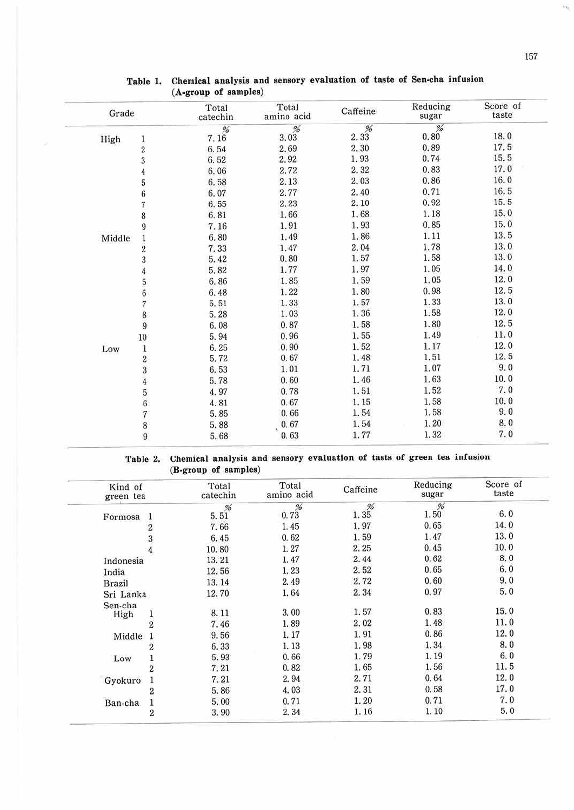ήĝ,

| Grade  |                                           | Total<br>catechin | Total<br>amino acid | Caffeine   | Reducing<br>sugar | Score of<br>taste |
|--------|-------------------------------------------|-------------------|---------------------|------------|-------------------|-------------------|
|        |                                           | $7.16^{96}$       | $\frac{0}{6}$       | $2.33^{%}$ | %<br>0.80         | 18.0              |
| High   | $\mathbf 1$                               |                   | 3.03                |            |                   |                   |
|        | $\frac{2}{3}$                             | 6.54              | 2.69                | 2.30       | 0.89              | 17.5              |
|        |                                           | 6.52              | 2.92                | 1.93       | 0.74              | 15.5              |
|        | $\overline{4}$                            | 6.06              | 2.72                | 2.32       | 0.83              | 17.0              |
|        | 5                                         | 6.58              | 2.13                | 2.03       | 0.86              | 16.0              |
|        | $\overline{6}$                            | 6.07              | 2.77                | 2.40       | 0.71              | 16.5              |
|        | $\begin{array}{c} 7 \\ 8 \end{array}$     | 6,55              | 2.23                | 2.10       | 0.92              | 15.5              |
|        |                                           | 6.81              | 1.66                | 1.68       | 1.18              | 15.0              |
|        | 9                                         | 7.16              | 1.91                | 1.93       | 0.85              | 15.0              |
| Middle |                                           | 6.80              | 1.49                | 1.86       | 1.11              | 13.5              |
|        | $\frac{1}{2}$                             | 7.33              | 1.47                | 2.04       | 1.78              | 13.0              |
|        | 3                                         | 5.42              | 0, 80               | 1.57       | 1.58              | 13.0              |
|        | $\overline{4}$                            | 5.82              | 1.77                | 1.97       | 1.05              | 14.0              |
|        |                                           | 6.86              | 1.85                | 1.59       | 1.05              | 12.0              |
|        | 567                                       | 6.48              | 1.22                | 1.80       | 0.98              | 12.5              |
|        |                                           | 5.51              | 1.33                | 1.57       | 1.33              | 13.0              |
|        |                                           | 5.28              | 1.03                | 1.36       | 1.58              | 12.0              |
|        | $\begin{array}{c} 8 \\ 9 \end{array}$     | 6.08              | 0.87                | 1.58       | 1.80              | 12.5              |
|        | 10                                        | 5.94              | 0.96                | 1.55       | 1.49              | 11.0              |
| Low    |                                           | 6.25              | 0.90                | 1.52       | 1.17              | 12.0              |
|        | $\frac{1}{2}$                             | 5.72              | 0.67                | 1.48       | 1.51              | 12.5              |
|        |                                           | 6.53              | 1.01                | 1.71       | 1.07              | 9.0               |
|        | $\frac{3}{4}$                             | 5.78              | 0.60                | 1.46       | 1.63              | 10.0              |
|        |                                           | 4.97              | 0.78                | 1.51       | 1.52              | 7.0               |
|        | $\frac{5}{6}$                             | 4.81              | 0.67                | 1.15       | 1.58              | 10.0              |
|        | $\overline{\mathcal{U}}$                  | 5.85              | 0.66                | 1.54       | 1.58              | 9.0               |
|        |                                           | 5.88              | 0.67                | 1.54       | 1.20              | 8.0               |
|        | $\begin{smallmatrix}8\9\end{smallmatrix}$ | 5.68              | 0.63                | 1.77       | 1.32              | 7.0               |

#### **Table 1. Chemical analysis and sensory evaluation of taste of Sen-cha infusion (A-group of samples)**

#### **Table 2. Chemical analysis and sensory evaluation of tasts of green tea infusion (B-group of samples)**

| Kind of<br>green tea |                | Total<br>catechin | Total<br>amino acid | Caffeine  | Reducing<br>sugar | Score of<br>taste |
|----------------------|----------------|-------------------|---------------------|-----------|-------------------|-------------------|
| Formosa              |                | %<br>5.51         | $0.73^{%}$          | %<br>1.35 | %<br>1.50         | 6.0               |
|                      |                | 7.66              | 1.45                | 1.97      | 0.65              | 14.0              |
|                      |                | 6.45              | 0.62                | 1.59      | 1.47              | 13.0              |
|                      |                | 10.80             | 1.27                | 2.25      | 0.45              | 10.0              |
| Indonesia            |                | 13.21             | 1.47                | 2.44      | 0.62              | 8.0               |
| India                |                | 12.56             | 1.23                | 2.52      | 0.65              | 6.0               |
| Brazil               |                | 13.14             | 2.49                | 2.72      | 0.60              | 9.0               |
| Sri Lanka            |                | 12.70             | 1.64                | 2.34      | 0.97              | 5.0               |
| Sen-cha              |                |                   |                     |           |                   |                   |
| High                 |                | 8.11              | 3.00                | 1.57      | 0.83              | 15.0              |
|                      | $\overline{2}$ | 7.46              | 1.89                | 2.02      | 1.48              | 11.0              |
| Middle               |                | 9.56              | 1.17                | 1.91      | 0.86              | 12.0              |
|                      | $\overline{2}$ | 6.33              | 1.13                | 1.98      | 1.34              | 8.0               |
| Low                  |                | 5.93              | 0.66                | 1.79      | 1.19              | 6.0               |
|                      |                | 7.21              | 0.82                | 1.65      | 1.56              | 11.5              |
| Gyokuro              |                | 7.21              | 2.94                | 2.71      | 0.64              | 12.0              |
|                      | 2              | 5.86              | 4.03                | 2.31      | 0.58              | 17.0              |
| Ban-cha              |                | 5.00              | 0.71                | 1.20      | 0.71              | 7.0               |
|                      | 2              | 3.90              | 2.34                | 1.16      | 1.10              | 5.0               |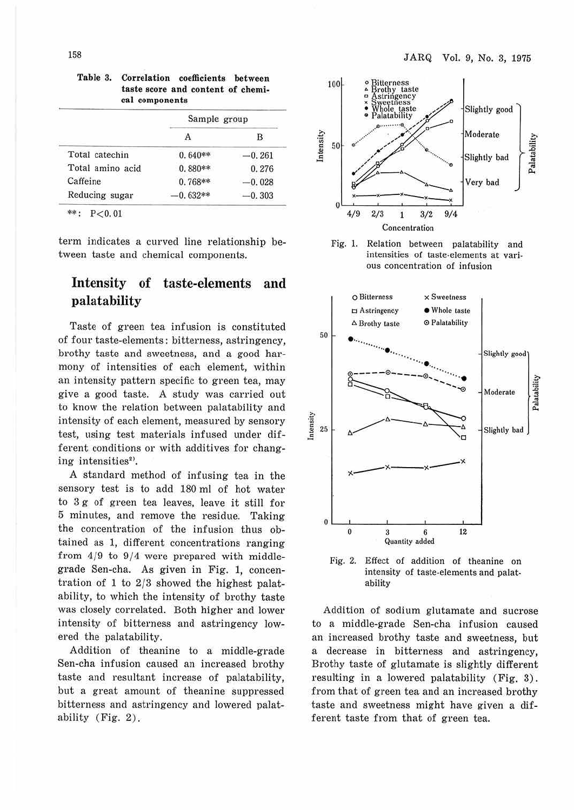|                  | Sample group |          |  |
|------------------|--------------|----------|--|
|                  |              | в        |  |
| Total catechin   | $0.640**$    | $-0.261$ |  |
| Total amino acid | $0.880**$    | 0.276    |  |
| Caffeine         | $0.768**$    | $-0.028$ |  |
| Reducing sugar   | $0.632**$    | $-0.303$ |  |

**Table 3. Correlation coefficients between taste score and content of chemical components** 

\*\*: P<0.01

term indicates a curved line relationship between taste and chemical components.

### **Intensity of taste-elements and palatability**

Taste of green tea infusion is constituted of four taste-elements: bitterness, astringency, brothy taste and sweetness, and a good harmony of intensities of each element, within an intensity pattern specific to green tea, may give a good taste. A study was carried out to know the relation between palatability and intensity of each element, measured by sensory test, using test materials infused under different conditions or with additives for changing intensities<sup>2)</sup>.

A standard method of infusing tea in the sensory test is to add 180 ml of hot water to 3 g of green tea leaves, leave it still for 5 minutes, and remove the residue. Taking the concentration of the infusion thus obtained as 1, different concentrations ranging from  $4/9$  to  $9/4$  were prepared with middlegrade Sen-cha. As given in Fig. 1, concentration of 1 to  $2/3$  showed the highest palatability, to which the intensity of brothy taste was closely correlated. Both higher and lower intensity of bitterness and astringency lowered the palatability.

Addition of theanine to a middle-grade Sen-cha infusion caused an increased brothy taste and resultant increase of palatability, but a great amount of theanine suppressed bitterness and astringency and lowered palatability (Fig. 2).







Fig. 2. Effect of addition of theanine on intensity of taste-elements and palatability

Addition of sodium glutamate and sucrose to a middle-grade Sen-cha infusion caused an increased brothy taste and sweetness, but a decrease in bitterness and astringency, Brothy taste of glutamate is slightly different resulting in a lowered palatability (Fig. 3) . from that of green tea and an increased brothy taste and sweetness might have given a different taste from that of green tea.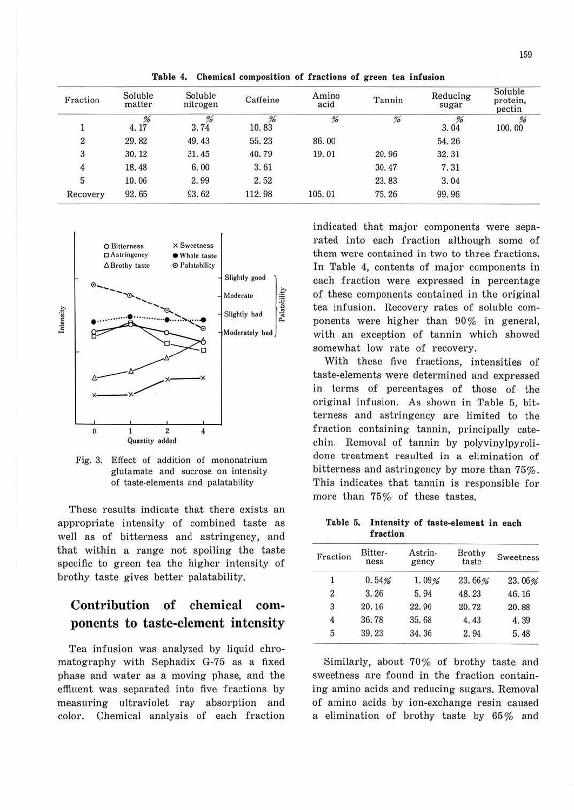| Fraction | Soluble<br>matter | Soluble<br>nitrogen | Caffeine   | Amino<br>acid | Tannin | Reducing<br>sugar | Soluble<br>protein,<br>pectin |
|----------|-------------------|---------------------|------------|---------------|--------|-------------------|-------------------------------|
| J.       | %<br>4.17         | $3.74^{96}$         | %<br>10.83 | %             | %      | %<br>3.04         | %<br>100.00                   |
| 2        | 29.82             | 49.43               | 55.23      | 86.00         |        | 54.26             |                               |
| 3        | 30.12             | 31.45               | 40.79      | 19.01         | 20.96  | 32.31             |                               |
| 4        | 18.48             | 6.00                | 3.61       |               | 30.47  | 7.31              |                               |
| 5        | 10.06             | 2.99                | 2.52       |               | 23.83  | 3.04              |                               |
| Recovery | 92.65             | 93.62               | 112.98     | 105.01        | 75.26  | 99.96             |                               |

**Table 4. Chemical composition of fractions of green tea infusion** 



0  $\overline{2}$ Quantity added 4 Fig. 3. Effect of addition of mononatrium glutamate and sucrose on intensity

ntensity

of taste-elements and palatability

These results indicate that there exists an appropriate intensity of combined taste as well as of bitterness and astringency, and that within a range not spoiling the taste specific to green tea the higher intensity of brothy taste gives better palatability.

## **Contribution of chemical components to taste-element intensity**

Tea infusion was analyzed by liquid chromatography with Sephadix G-75 as a fixed phase and water as a moving phase, and the effluent was separated into five fractions by measuring ultraviolet ray absorption and color. Chemical analysis of each fraction indicated that major components were separated into each fraction although some of them were contained in two to three fractions. In Table 4, contents of major components in each fraction were expressed in percentage of these components contained in the original tea infusion. Recovery rates of soluble components were higher than 90% in general, with an exception of tannin which showed somewhat low rate of recovery.

With these five fractions, intensities of taste-elements were determined and expressed in terms of percentages of those of the original infusion. As shown in Table 5, bitterness and astringency are limited to the fraction containing tannin, principally catechin. Removal of tannin by polyvinylpyrolidone treatment resulted in a elimination of bitterness and astringency by more than 75%. This indicates that tannin is responsible for more than 75% of these tastes.

#### **Table 5. Intensity of taste-element in each fraction**

| Fraction | Bitter-<br>ness | Astrin-<br>gency | Brothy<br>taste | Sweetness |
|----------|-----------------|------------------|-----------------|-----------|
|          | 0.54%           | 1.09%            | 23.66%          | 23.06%    |
| 2        | 3.26            | 5.94             | 48.23           | 46.16     |
| 3        | 20.16           | 22.90            | 20.72           | 20.88     |
| $4-$     | 36.78           | 35.68            | 4.43            | 4.39      |
| 5        | 39.23           | 34.36            | 2.94            | 5.48      |
|          |                 |                  |                 |           |

Similarly, about 70% of brothy taste and sweetness are found in the fraction containing amino acids and reducing sugars. Removal of amino acids by ion-exchange resin caused a elimination of brothy taste by 65% and